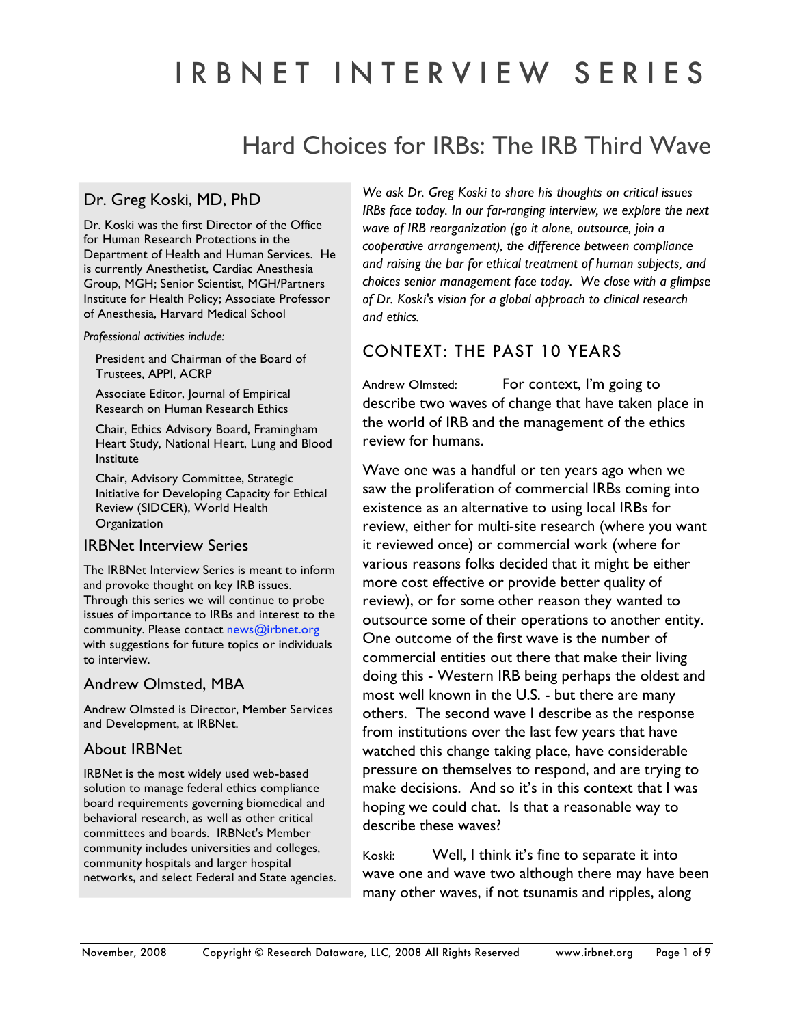# I R B N E T I N T E R V I E W S E R I E S

# Hard Choices for IRBs: The IRB Third Wave

## Dr. Greg Koski, MD, PhD

Dr. Koski was the first Director of the Office for Human Research Protections in the Department of Health and Human Services. He is currently Anesthetist, Cardiac Anesthesia Group, MGH; Senior Scientist, MGH/Partners Institute for Health Policy; Associate Professor of Anesthesia, Harvard Medical School

#### *Professional activities include:*

President and Chairman of the Board of Trustees, APPI, ACRP

Associate Editor, Journal of Empirical Research on Human Research Ethics

Chair, Ethics Advisory Board, Framingham Heart Study, National Heart, Lung and Blood Institute

Chair, Advisory Committee, Strategic Initiative for Developing Capacity for Ethical Review (SIDCER), World Health **Organization** 

#### IRBNet Interview Series

The IRBNet Interview Series is meant to inform and provoke thought on key IRB issues. Through this series we will continue to probe issues of importance to IRBs and interest to the community. Please contact news@irbnet.org with suggestions for future topics or individuals to interview.

#### Andrew Olmsted, MBA

Andrew Olmsted is Director, Member Services and Development, at IRBNet.

#### About IRBNet

IRBNet is the most widely used web-based solution to manage federal ethics compliance board requirements governing biomedical and behavioral research, as well as other critical committees and boards. IRBNet's Member community includes universities and colleges, community hospitals and larger hospital networks, and select Federal and State agencies. *We ask Dr. Greg Koski to share his thoughts on critical issues IRBs face today. In our far-ranging interview, we explore the next wave of IRB reorganization (go it alone, outsource, join a cooperative arrangement), the difference between compliance and raising the bar for ethical treatment of human subjects, and choices senior management face today. We close with a glimpse of Dr. Koski's vision for a global approach to clinical research and ethics.* 

# CONTEXT: THE PAST 10 YEARS

Andrew Olmsted: For context, I'm going to describe two waves of change that have taken place in the world of IRB and the management of the ethics review for humans.

Wave one was a handful or ten years ago when we saw the proliferation of commercial IRBs coming into existence as an alternative to using local IRBs for review, either for multi-site research (where you want it reviewed once) or commercial work (where for various reasons folks decided that it might be either more cost effective or provide better quality of review), or for some other reason they wanted to outsource some of their operations to another entity. One outcome of the first wave is the number of commercial entities out there that make their living doing this - Western IRB being perhaps the oldest and most well known in the U.S. - but there are many others. The second wave I describe as the response from institutions over the last few years that have watched this change taking place, have considerable pressure on themselves to respond, and are trying to make decisions. And so it's in this context that I was hoping we could chat. Is that a reasonable way to describe these waves?

Koski: Well, I think it's fine to separate it into wave one and wave two although there may have been many other waves, if not tsunamis and ripples, along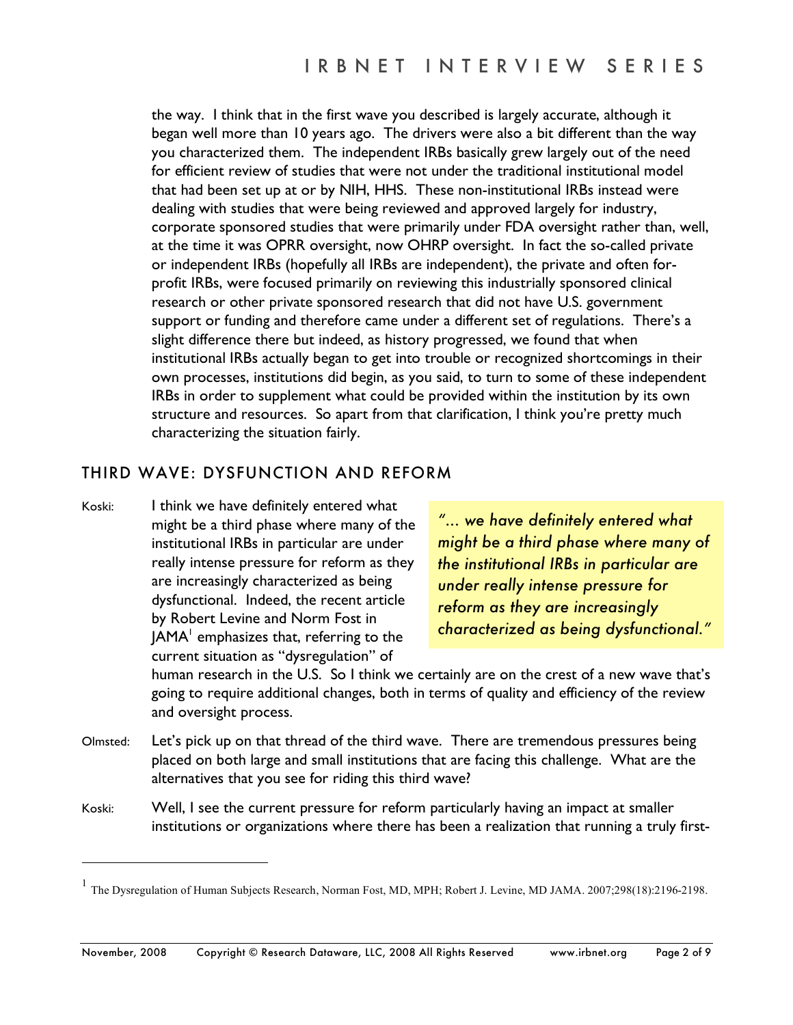the way. I think that in the first wave you described is largely accurate, although it began well more than 10 years ago. The drivers were also a bit different than the way you characterized them. The independent IRBs basically grew largely out of the need for efficient review of studies that were not under the traditional institutional model that had been set up at or by NIH, HHS. These non-institutional IRBs instead were dealing with studies that were being reviewed and approved largely for industry, corporate sponsored studies that were primarily under FDA oversight rather than, well, at the time it was OPRR oversight, now OHRP oversight. In fact the so-called private or independent IRBs (hopefully all IRBs are independent), the private and often forprofit IRBs, were focused primarily on reviewing this industrially sponsored clinical research or other private sponsored research that did not have U.S. government support or funding and therefore came under a different set of regulations. There's a slight difference there but indeed, as history progressed, we found that when institutional IRBs actually began to get into trouble or recognized shortcomings in their own processes, institutions did begin, as you said, to turn to some of these independent IRBs in order to supplement what could be provided within the institution by its own structure and resources. So apart from that clarification, I think you're pretty much characterizing the situation fairly.

# THIRD WAVE: DYSFUNCTION AND REFORM

Koski: I think we have definitely entered what might be a third phase where many of the institutional IRBs in particular are under really intense pressure for reform as they are increasingly characterized as being dysfunctional. Indeed, the recent article by Robert Levine and Norm Fost in JAMA $^{\rm l}$  emphasizes that, referring to the current situation as "dysregulation" of

 $\overline{a}$ 

*"... we have definitely entered what might be a third phase where many of the institutional IRBs in particular are under really intense pressure for reform as they are increasingly characterized as being dysfunctional."*

human research in the U.S. So I think we certainly are on the crest of a new wave that's going to require additional changes, both in terms of quality and efficiency of the review and oversight process.

- Olmsted: Let's pick up on that thread of the third wave. There are tremendous pressures being placed on both large and small institutions that are facing this challenge. What are the alternatives that you see for riding this third wave?
- Koski: Well, I see the current pressure for reform particularly having an impact at smaller institutions or organizations where there has been a realization that running a truly first-

<sup>&</sup>lt;sup>1</sup> The Dysregulation of Human Subjects Research, Norman Fost, MD, MPH; Robert J. Levine, MD JAMA. 2007;298(18):2196-2198.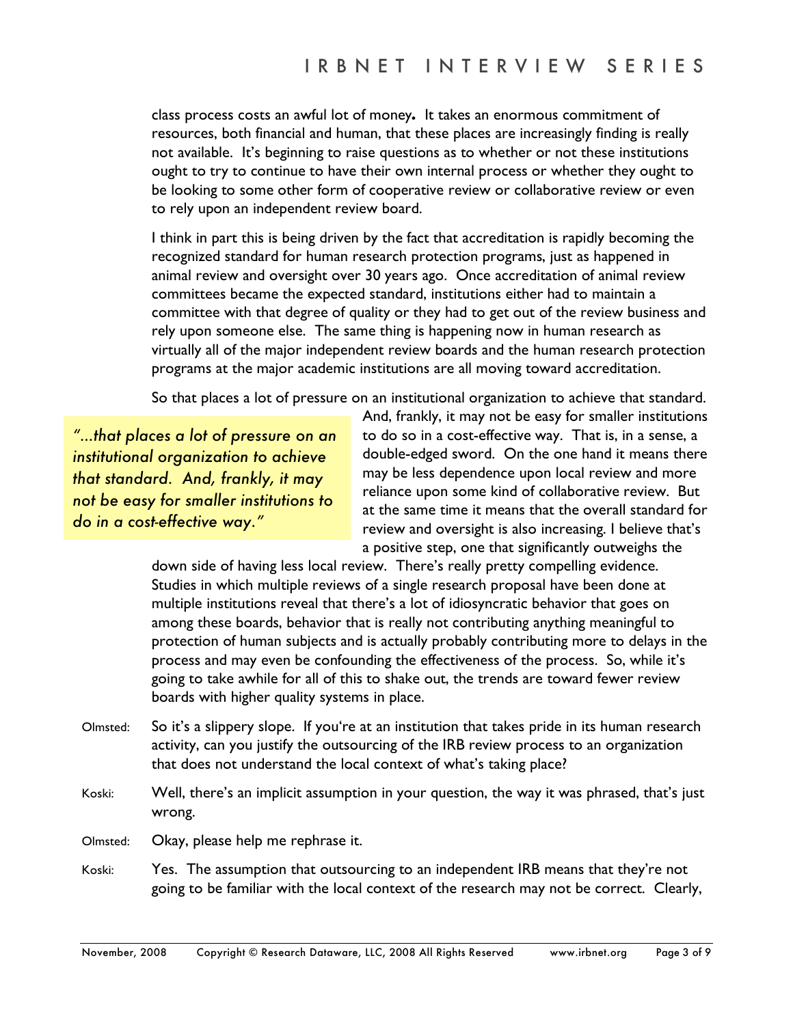class process costs an awful lot of money**.** It takes an enormous commitment of resources, both financial and human, that these places are increasingly finding is really not available. It's beginning to raise questions as to whether or not these institutions ought to try to continue to have their own internal process or whether they ought to be looking to some other form of cooperative review or collaborative review or even to rely upon an independent review board.

I think in part this is being driven by the fact that accreditation is rapidly becoming the recognized standard for human research protection programs, just as happened in animal review and oversight over 30 years ago. Once accreditation of animal review committees became the expected standard, institutions either had to maintain a committee with that degree of quality or they had to get out of the review business and rely upon someone else. The same thing is happening now in human research as virtually all of the major independent review boards and the human research protection programs at the major academic institutions are all moving toward accreditation.

So that places a lot of pressure on an institutional organization to achieve that standard.

*"…that places a lot of pressure on an institutional organization to achieve that standard. And, frankly, it may not be easy for smaller institutions to do in a cost-effective way."* 

And, frankly, it may not be easy for smaller institutions to do so in a cost-effective way. That is, in a sense, a double-edged sword. On the one hand it means there may be less dependence upon local review and more reliance upon some kind of collaborative review. But at the same time it means that the overall standard for review and oversight is also increasing. I believe that's a positive step, one that significantly outweighs the

down side of having less local review. There's really pretty compelling evidence. Studies in which multiple reviews of a single research proposal have been done at multiple institutions reveal that there's a lot of idiosyncratic behavior that goes on among these boards, behavior that is really not contributing anything meaningful to protection of human subjects and is actually probably contributing more to delays in the process and may even be confounding the effectiveness of the process. So, while it's going to take awhile for all of this to shake out, the trends are toward fewer review boards with higher quality systems in place.

- Olmsted: So it's a slippery slope. If you're at an institution that takes pride in its human research activity, can you justify the outsourcing of the IRB review process to an organization that does not understand the local context of what's taking place?
- Koski: Well, there's an implicit assumption in your question, the way it was phrased, that's just wrong.
- Olmsted: Okay, please help me rephrase it.
- Koski: Yes. The assumption that outsourcing to an independent IRB means that they're not going to be familiar with the local context of the research may not be correct. Clearly,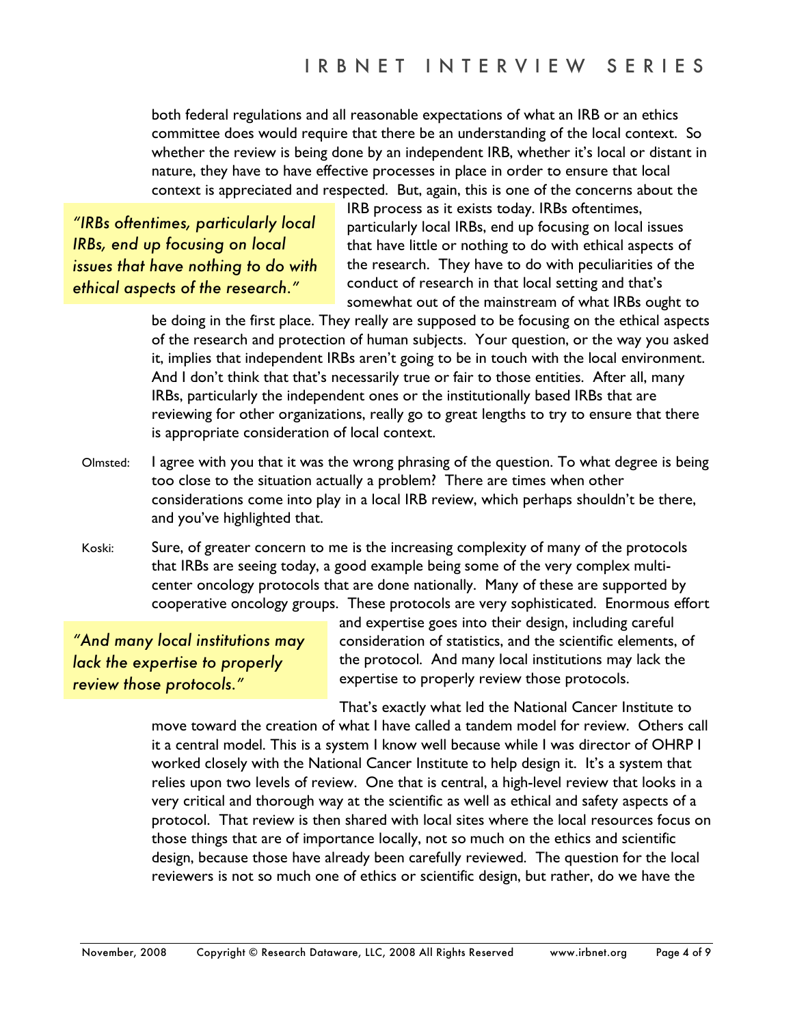both federal regulations and all reasonable expectations of what an IRB or an ethics committee does would require that there be an understanding of the local context. So whether the review is being done by an independent IRB, whether it's local or distant in nature, they have to have effective processes in place in order to ensure that local context is appreciated and respected. But, again, this is one of the concerns about the

*"IRBs oftentimes, particularly local IRBs, end up focusing on local issues that have nothing to do with ethical aspects of the research."* 

IRB process as it exists today. IRBs oftentimes, particularly local IRBs, end up focusing on local issues that have little or nothing to do with ethical aspects of the research. They have to do with peculiarities of the conduct of research in that local setting and that's somewhat out of the mainstream of what IRBs ought to

be doing in the first place. They really are supposed to be focusing on the ethical aspects of the research and protection of human subjects. Your question, or the way you asked it, implies that independent IRBs aren't going to be in touch with the local environment. And I don't think that that's necessarily true or fair to those entities. After all, many IRBs, particularly the independent ones or the institutionally based IRBs that are reviewing for other organizations, really go to great lengths to try to ensure that there is appropriate consideration of local context.

- Olmsted: I agree with you that it was the wrong phrasing of the question. To what degree is being too close to the situation actually a problem? There are times when other considerations come into play in a local IRB review, which perhaps shouldn't be there, and you've highlighted that.
- Koski: Sure, of greater concern to me is the increasing complexity of many of the protocols that IRBs are seeing today, a good example being some of the very complex multicenter oncology protocols that are done nationally. Many of these are supported by cooperative oncology groups. These protocols are very sophisticated. Enormous effort

*"And many local institutions may lack the expertise to properly review those protocols."* 

and expertise goes into their design, including careful consideration of statistics, and the scientific elements, of the protocol. And many local institutions may lack the expertise to properly review those protocols.

That's exactly what led the National Cancer Institute to

move toward the creation of what I have called a tandem model for review. Others call it a central model. This is a system I know well because while I was director of OHRP I worked closely with the National Cancer Institute to help design it. It's a system that relies upon two levels of review. One that is central, a high-level review that looks in a very critical and thorough way at the scientific as well as ethical and safety aspects of a protocol. That review is then shared with local sites where the local resources focus on those things that are of importance locally, not so much on the ethics and scientific design, because those have already been carefully reviewed. The question for the local reviewers is not so much one of ethics or scientific design, but rather, do we have the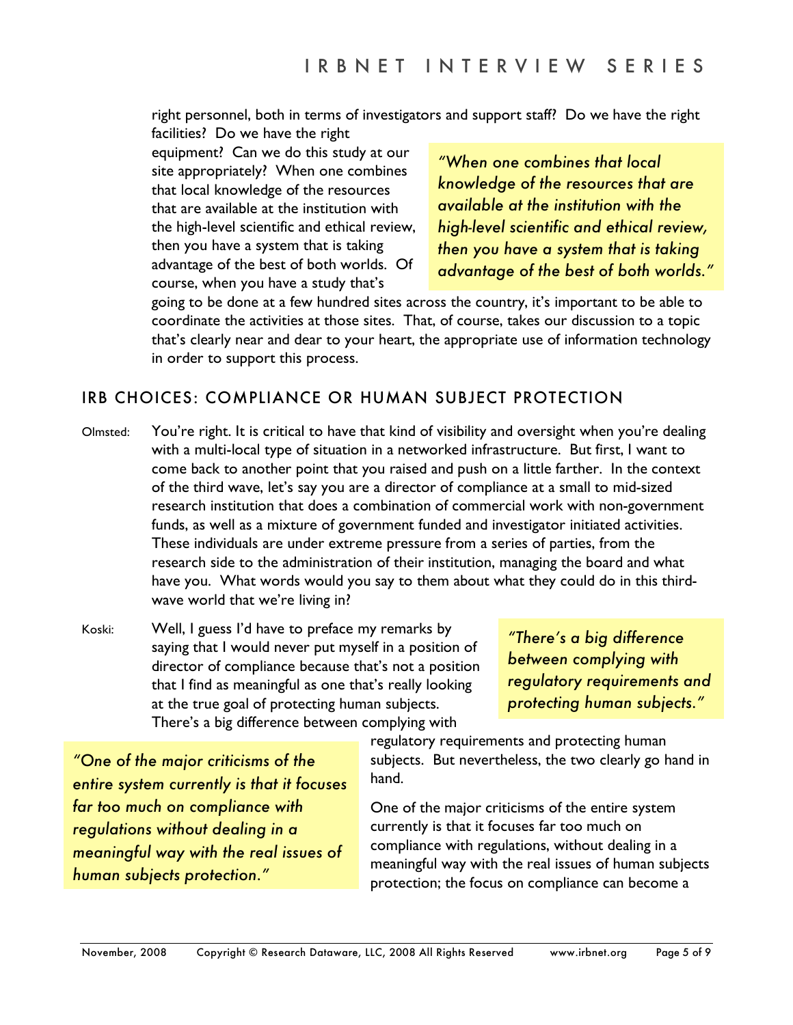right personnel, both in terms of investigators and support staff? Do we have the right

facilities? Do we have the right equipment? Can we do this study at our site appropriately? When one combines that local knowledge of the resources that are available at the institution with the high-level scientific and ethical review, then you have a system that is taking advantage of the best of both worlds. Of course, when you have a study that's

*"When one combines that local knowledge of the resources that are available at the institution with the high-level scientific and ethical review, then you have a system that is taking advantage of the best of both worlds."*

going to be done at a few hundred sites across the country, it's important to be able to coordinate the activities at those sites. That, of course, takes our discussion to a topic that's clearly near and dear to your heart, the appropriate use of information technology in order to support this process.

# IRB CHOICES: COMPLIANCE OR HUMAN SUBJECT PROTECTION

- Olmsted: You're right. It is critical to have that kind of visibility and oversight when you're dealing with a multi-local type of situation in a networked infrastructure. But first, I want to come back to another point that you raised and push on a little farther. In the context of the third wave, let's say you are a director of compliance at a small to mid-sized research institution that does a combination of commercial work with non-government funds, as well as a mixture of government funded and investigator initiated activities. These individuals are under extreme pressure from a series of parties, from the research side to the administration of their institution, managing the board and what have you. What words would you say to them about what they could do in this thirdwave world that we're living in?
- Koski: Well, I guess I'd have to preface my remarks by saying that I would never put myself in a position of director of compliance because that's not a position that I find as meaningful as one that's really looking at the true goal of protecting human subjects. There's a big difference between complying with

*"There's a big difference between complying with regulatory requirements and protecting human subjects."* 

*"One of the major criticisms of the entire system currently is that it focuses far too much on compliance with regulations without dealing in a meaningful way with the real issues of human subjects protection."*

regulatory requirements and protecting human subjects. But nevertheless, the two clearly go hand in hand.

One of the major criticisms of the entire system currently is that it focuses far too much on compliance with regulations, without dealing in a meaningful way with the real issues of human subjects protection; the focus on compliance can become a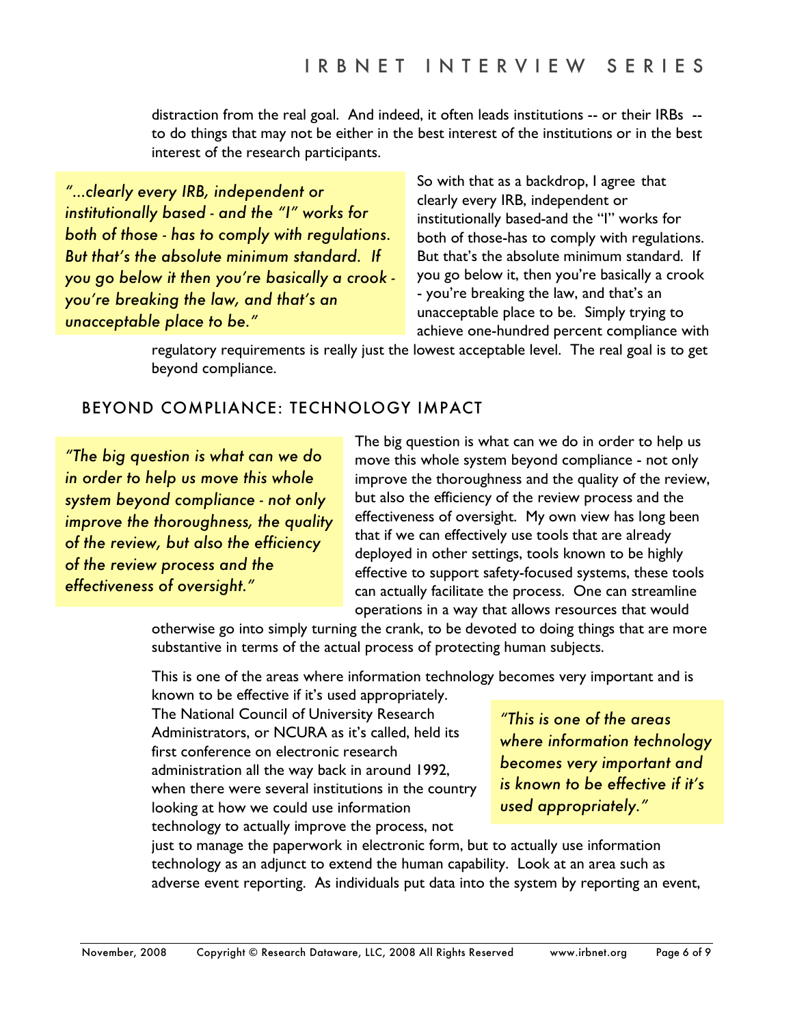distraction from the real goal. And indeed, it often leads institutions -- or their IRBs - to do things that may not be either in the best interest of the institutions or in the best interest of the research participants.

*"…clearly every IRB, independent or institutionally based - and the "I" works for both of those - has to comply with regulations. But that's the absolute minimum standard. If you go below it then you're basically a crook you're breaking the law, and that's an unacceptable place to be."* 

So with that as a backdrop, I agree that clearly every IRB, independent or institutionally based-and the "I" works for both of those-has to comply with regulations. But that's the absolute minimum standard. If you go below it, then you're basically a crook - you're breaking the law, and that's an unacceptable place to be. Simply trying to achieve one-hundred percent compliance with

regulatory requirements is really just the lowest acceptable level. The real goal is to get beyond compliance.

# BEYOND COMPLIANCE: TECHNOLOGY IMPACT

*"The big question is what can we do in order to help us move this whole system beyond compliance - not only improve the thoroughness, the quality of the review, but also the efficiency of the review process and the effectiveness of oversight."* 

The big question is what can we do in order to help us move this whole system beyond compliance - not only improve the thoroughness and the quality of the review, but also the efficiency of the review process and the effectiveness of oversight. My own view has long been that if we can effectively use tools that are already deployed in other settings, tools known to be highly effective to support safety-focused systems, these tools can actually facilitate the process. One can streamline operations in a way that allows resources that would

otherwise go into simply turning the crank, to be devoted to doing things that are more substantive in terms of the actual process of protecting human subjects.

This is one of the areas where information technology becomes very important and is

known to be effective if it's used appropriately. The National Council of University Research Administrators, or NCURA as it's called, held its first conference on electronic research administration all the way back in around 1992, when there were several institutions in the country looking at how we could use information technology to actually improve the process, not

*"This is one of the areas where information technology becomes very important and is known to be effective if it's used appropriately."* 

just to manage the paperwork in electronic form, but to actually use information technology as an adjunct to extend the human capability. Look at an area such as adverse event reporting. As individuals put data into the system by reporting an event,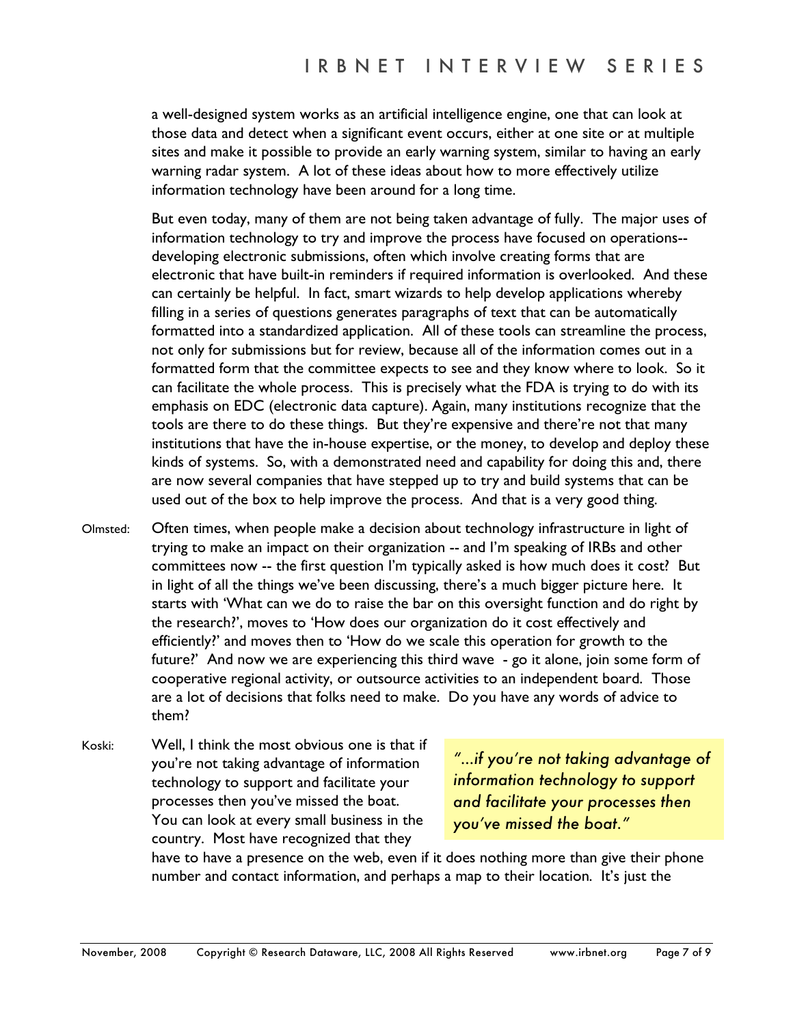a well-designed system works as an artificial intelligence engine, one that can look at those data and detect when a significant event occurs, either at one site or at multiple sites and make it possible to provide an early warning system, similar to having an early warning radar system. A lot of these ideas about how to more effectively utilize information technology have been around for a long time.

But even today, many of them are not being taken advantage of fully. The major uses of information technology to try and improve the process have focused on operations- developing electronic submissions, often which involve creating forms that are electronic that have built-in reminders if required information is overlooked. And these can certainly be helpful. In fact, smart wizards to help develop applications whereby filling in a series of questions generates paragraphs of text that can be automatically formatted into a standardized application. All of these tools can streamline the process, not only for submissions but for review, because all of the information comes out in a formatted form that the committee expects to see and they know where to look. So it can facilitate the whole process. This is precisely what the FDA is trying to do with its emphasis on EDC (electronic data capture). Again, many institutions recognize that the tools are there to do these things. But they're expensive and there're not that many institutions that have the in-house expertise, or the money, to develop and deploy these kinds of systems. So, with a demonstrated need and capability for doing this and, there are now several companies that have stepped up to try and build systems that can be used out of the box to help improve the process. And that is a very good thing.

- Olmsted: Often times, when people make a decision about technology infrastructure in light of trying to make an impact on their organization -- and I'm speaking of IRBs and other committees now -- the first question I'm typically asked is how much does it cost? But in light of all the things we've been discussing, there's a much bigger picture here. It starts with 'What can we do to raise the bar on this oversight function and do right by the research?', moves to 'How does our organization do it cost effectively and efficiently?' and moves then to 'How do we scale this operation for growth to the future?' And now we are experiencing this third wave - go it alone, join some form of cooperative regional activity, or outsource activities to an independent board. Those are a lot of decisions that folks need to make. Do you have any words of advice to them?
- Koski: Well, I think the most obvious one is that if you're not taking advantage of information technology to support and facilitate your processes then you've missed the boat. You can look at every small business in the country. Most have recognized that they

*"…if you're not taking advantage of information technology to support and facilitate your processes then you've missed the boat."* 

have to have a presence on the web, even if it does nothing more than give their phone number and contact information, and perhaps a map to their location. It's just the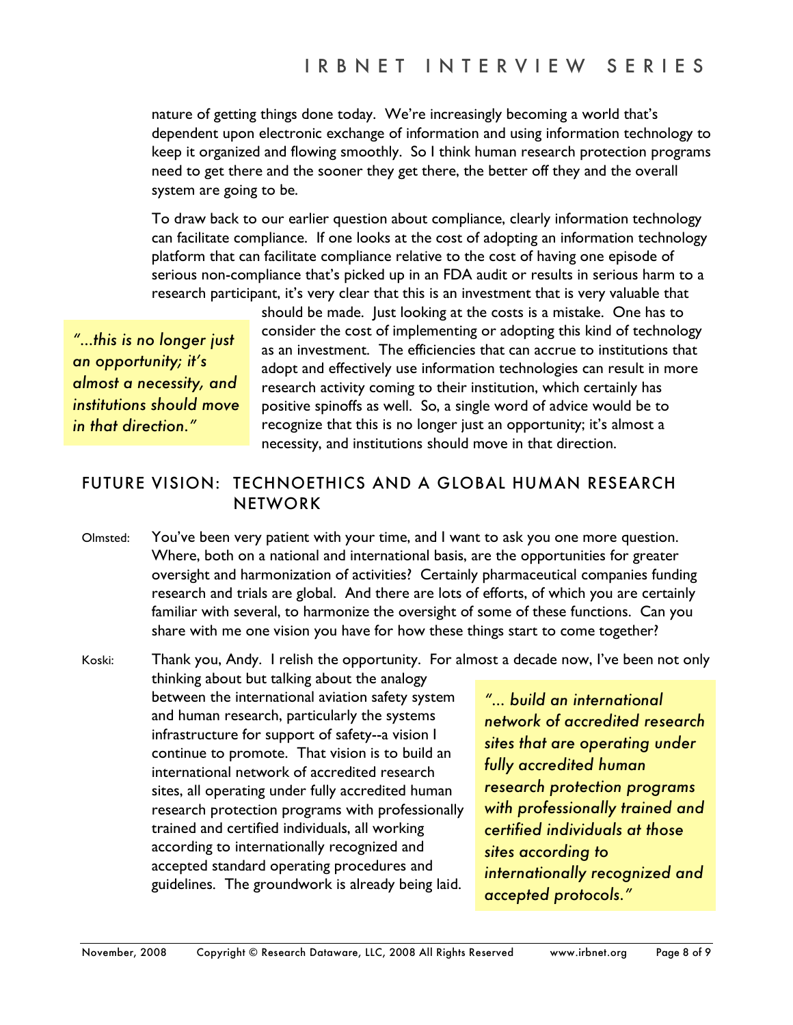nature of getting things done today. We're increasingly becoming a world that's dependent upon electronic exchange of information and using information technology to keep it organized and flowing smoothly. So I think human research protection programs need to get there and the sooner they get there, the better off they and the overall system are going to be.

 To draw back to our earlier question about compliance, clearly information technology can facilitate compliance. If one looks at the cost of adopting an information technology platform that can facilitate compliance relative to the cost of having one episode of serious non-compliance that's picked up in an FDA audit or results in serious harm to a research participant, it's very clear that this is an investment that is very valuable that

*"…this is no longer just an opportunity; it's almost a necessity, and institutions should move in that direction."* 

should be made. Just looking at the costs is a mistake. One has to consider the cost of implementing or adopting this kind of technology as an investment. The efficiencies that can accrue to institutions that adopt and effectively use information technologies can result in more research activity coming to their institution, which certainly has positive spinoffs as well. So, a single word of advice would be to recognize that this is no longer just an opportunity; it's almost a necessity, and institutions should move in that direction.

## FUTURE VISION: TECHNOETHICS AND A GLOBAL HUMAN RESEARCH NETWORK

Olmsted: You've been very patient with your time, and I want to ask you one more question. Where, both on a national and international basis, are the opportunities for greater oversight and harmonization of activities? Certainly pharmaceutical companies funding research and trials are global. And there are lots of efforts, of which you are certainly familiar with several, to harmonize the oversight of some of these functions. Can you share with me one vision you have for how these things start to come together?

Koski: Thank you, Andy. I relish the opportunity. For almost a decade now, I've been not only thinking about but talking about the analogy between the international aviation safety system and human research, particularly the systems infrastructure for support of safety--a vision I continue to promote. That vision is to build an international network of accredited research sites, all operating under fully accredited human research protection programs with professionally trained and certified individuals, all working according to internationally recognized and accepted standard operating procedures and guidelines. The groundwork is already being laid.

*"… build an international network of accredited research sites that are operating under fully accredited human research protection programs with professionally trained and certified individuals at those sites according to internationally recognized and accepted protocols."*